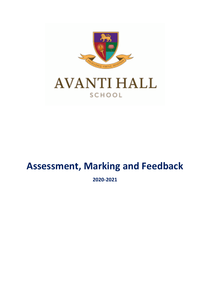

# **Assessment, Marking and Feedback**

**2020-2021**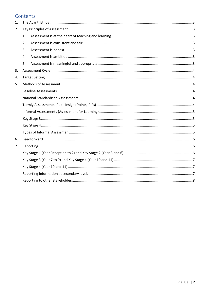# Contents

| 1. |    |  |  |  |  |
|----|----|--|--|--|--|
| 2. |    |  |  |  |  |
|    | 1. |  |  |  |  |
|    | 2. |  |  |  |  |
|    | 3. |  |  |  |  |
|    | 4. |  |  |  |  |
|    | 5. |  |  |  |  |
| 3. |    |  |  |  |  |
| 4. |    |  |  |  |  |
| 5. |    |  |  |  |  |
|    |    |  |  |  |  |
|    |    |  |  |  |  |
|    |    |  |  |  |  |
|    |    |  |  |  |  |
|    |    |  |  |  |  |
|    |    |  |  |  |  |
|    |    |  |  |  |  |
| 6. |    |  |  |  |  |
| 7. |    |  |  |  |  |
|    |    |  |  |  |  |
|    |    |  |  |  |  |
|    |    |  |  |  |  |
|    |    |  |  |  |  |
|    |    |  |  |  |  |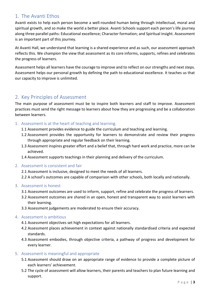# <span id="page-2-0"></span>1. The Avanti Ethos

Avanti exists to help each person become a well-rounded human being through intellectual, moral and spiritual growth, and so make the world a better place. Avanti Schools support each person's life journey along three parallel paths: Educational excellence; Character formation; and Spiritual insight. Assessment is an important part of this journey.

At Avanti Hall, we understand that learning is a shared experience and as such, our assessment approach reflects this. We champion the view that assessment as its core informs, supports, refines and celebrates the progress of learners.

Assessment helps all learners have the courage to improve and to reflect on our strengths and next steps. Assessment helps our personal growth by defining the path to educational excellence. It teaches us that our capacity to improve is unlimited.

# <span id="page-2-1"></span>2. Key Principles of Assessment

The main purpose of assessment must be to inspire both learners and staff to improve. Assessment practices must send the right message to learners about how they are progressing and be a collaboration between learners.

- <span id="page-2-2"></span>1. Assessment is at the heart of teaching and learning.
	- 1.1 Assessment provides evidence to guide the curriculum and teaching and learning.
	- 1.2 Assessment provides the opportunity for learners to demonstrate and review their progress through appropriate and regular feedback on their learning.
	- 1.3 Assessment inspires greater effort and a belief that, through hard work and practice, more can be achieved.
	- 1.4 Assessment supports teachings in their planning and delivery of the curriculum.
- <span id="page-2-3"></span>2. Assessment is consistent and fair

2.1 Assessment is inclusive, designed to meet the needs of all learners.

- 2.2 A school's outcomes are capable of comparison with other schools, both locally and nationally.
- <span id="page-2-4"></span>3. Assessment is honest
	- 3.1 Assessment outcomes are used to inform, support, refine and celebrate the progress of learners.
	- 3.2 Assessment outcomes are shared in an open, honest and transparent way to assist learners with their learning.
	- 3.3 Assessment judgements are moderated to ensure their accuracy.

## <span id="page-2-5"></span>4. Assessment is ambitious

- 4.1 Assessment objectives set high expectations for all learners.
- 4.2 Assessment places achievement in context against nationally standardised criteria and expected standards.
- 4.3 Assessment embodies, through objective criteria, a pathway of progress and development for every learner.

## <span id="page-2-6"></span>5. Assessment is meaningful and appropriate

- 5.1 Assessment should draw on an appropriate range of evidence to provide a complete picture of each learners' achievement.
- 5.2 The cycle of assessment will allow learners, their parents and teachers to plan future learning and support.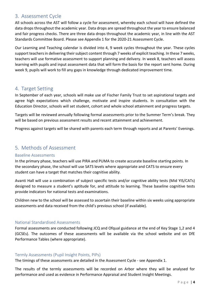# <span id="page-3-0"></span>3. Assessment Cycle

All schools across the AST will follow a cycle for assessment, whereby each school will have defined the data drops throughout the academic year. Data drops are spread throughout the year to ensure balanced and fair progress checks. There are three data drops throughout the academic year, in line with the AST Standards Committee Board. Please see Appendix 1 for the 2020-21 Assessment Cycle.

Our Learning and Teaching calendar is divided into 4, 9 week cycles throughout the year. These cycles support teachers in delivering their subject content through 7 weeks of explicit teaching. In these 7 weeks, teachers will use formative assessment to support planning and delivery. In week 8, teachers will assess learning with pupils and input assessment data that will form the basis for the report sent home. During week 9, pupils will work to fill any gaps in knowledge through dedicated improvement time.

# <span id="page-3-1"></span>4. Target Setting

In September of each year, schools will make use of Fischer Family Trust to set aspirational targets and agree high expectations which challenge, motivate and inspire students. In consultation with the Education Director, schools will set student, cohort and whole school attainment and progress targets.

Targets will be reviewed annually following formal assessments prior to the Summer Term's break. They will be based on previous assessment results and recent attainment and achievement.

Progress against targets will be shared with parents each term through reports and at Parents' Evenings.

# <span id="page-3-2"></span>5. Methods of Assessment

## <span id="page-3-3"></span>Baseline Assessments

In the primary phase, teachers will use PIRA and PUMA to create accurate baseline starting points. In the secondary phase, the school will use SATS levels where appropriate and CATS to ensure every student can have a target that matches their cognitive ability.

Avanti Hall will use a combination of subject specific tests and/or cognitive ability tests (Mid YIS/CATs) designed to measure a student's aptitude for, and attitude to learning. These baseline cognitive tests provide indicators for national tests and examinations.

Children new to the school will be assessed to ascertain their baseline within six weeks using appropriate assessments and data received from the child's previous school (if available).

## <span id="page-3-4"></span>National Standardised Assessments

Formal assessments are conducted following JCQ and Ofqual guidance at the end of Key Stage 1,2 and 4 (GCSEs). The outcomes of these assessments will be available via the school website and on DfE Performance Tables (where appropriate).

## <span id="page-3-5"></span>Termly Assessments (Pupil Insight Points, PIPs)

The timings of these assessments are detailed in the Assessment Cycle - see Appendix 1.

The results of the termly assessments will be recorded on Arbor where they will be analysed for performance and used as evidence in Performance Appraisal and Student Insight Meetings.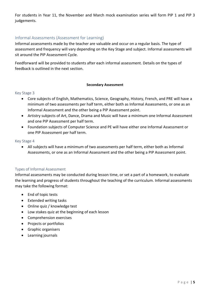For students in Year 11, the November and March mock examination series will form PIP 1 and PIP 3 judgements.

# <span id="page-4-0"></span>Informal Assessments (Assessment for Learning)

Informal assessments made by the teacher are valuable and occur on a regular basis. The type of assessment and frequency will vary depending on the Key Stage and subject. Informal assessments will sit around the PIP Assessment Cycle.

Feedforward will be provided to students after each informal assessment. Details on the types of feedback is outlined in the next section.

#### **Secondary Assessment**

#### <span id="page-4-1"></span>Key Stage 3

- Core subjects of English, Mathematics, Science, Geography, History, French, and PRE will have a minimum of two assessments per half term, either both as Informal Assessments, or one as an Informal Assessment and the other being a PIP Assessment point.
- Artistry subjects of Art, Dance, Drama and Music will have a minimum one Informal Assessment and one PIP Assessment per half term.
- Foundation subjects of Computer Science and PE will have either one Informal Assessment or one PIP Assessment per half term.

#### <span id="page-4-2"></span>Key Stage 4

 All subjects will have a minimum of two assessments per half term, either both as Informal Assessments, or one as an Informal Assessment and the other being a PIP Assessment point.

#### <span id="page-4-3"></span>Types of Informal Assessment

Informal assessments may be conducted during lesson time, or set a part of a homework, to evaluate the learning and progress of students throughout the teaching of the curriculum. Informal assessments may take the following format:

- End of topic tests
- Extended writing tasks
- Online quiz / knowledge test
- Low stakes quiz at the beginning of each lesson
- Comprehension exercises
- Projects or portfolios
- **•** Graphic organisers
- Learning journals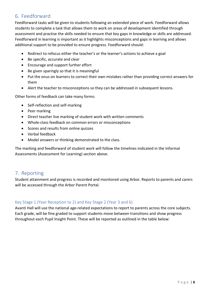# <span id="page-5-0"></span>6. Feedforward

Feedforward tasks will be given to students following an extended piece of work. Feedforward allows students to complete a task that allows them to work on areas of development identified through assessment and practise the skills needed to ensure that key gaps in knowledge or skills are addressed. Feedforward in learning is important as it highlights misconceptions and gaps in learning and allows additional support to be provided to ensure progress. Feedforward should:

- Redirect to refocus either the teacher's or the learner's actions to achieve a goal
- Be specific, accurate and clear
- Encourage and support further effort
- Be given sparingly so that it is meaningful
- Put the onus on learners to correct their own mistakes rather than providing correct answers for them
- Alert the teacher to misconceptions so they can be addressed in subsequent lessons.

Other forms of feedback can take many forms:

- Self-reflection and self-marking
- Peer marking
- Direct teacher live marking of student work with written comments
- Whole-class feedback on common errors or misconceptions
- Scores and results from online quizzes
- Verbal feedback
- Model answers or thinking demonstrated to the class.

The marking and feedforward of student work will follow the timelines indicated in the Informal Assessments (Assessment for Learning) section above.

# <span id="page-5-1"></span>7. Reporting

Student attainment and progress is recorded and monitored using Arbor. Reports to parents and carers will be accessed through the Arbor Parent Portal.

# <span id="page-5-2"></span>Key Stage 1 (Year Reception to 2) and Key Stage 2 (Year 3 and 6)

Avanti Hall will use the national age-related expectations to report to parents across the core subjects. Each grade, will be fine graded to support students move between transitions and show progress throughout each Pupil Insight Point. These will be reported as outlined in the table below: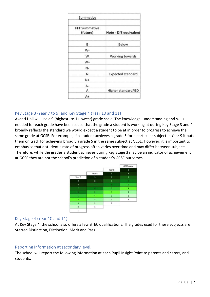| Summative                        |                          |
|----------------------------------|--------------------------|
| <b>FFT Summative</b><br>(future) | Note - DfE equivalent    |
| B                                | Below                    |
| W-                               |                          |
| W                                | Working towards          |
| W+                               |                          |
| N-                               |                          |
| Ν                                | <b>Expected standard</b> |
| $N+$                             |                          |
| А-                               |                          |
| А                                | Higher standard/GD       |
| A+                               |                          |

# <span id="page-6-0"></span>Key Stage 3 (Year 7 to 9) and Key Stage 4 (Year 10 and 11)

Avanti Hall will use a 9 (highest) to 1 (lowest) grade scale. The knowledge, understanding and skills needed for each grade have been set so that the grade a student is working at during Key Stage 3 and 4 broadly reflects the standard we would expect a student to be at in order to progress to achieve the same grade at GCSE. For example, if a student achieves a grade 5 for a particular subject in Year 9 it puts them on track for achieving broadly a grade 5 in the same subject at GCSE. However, it is important to emphasise that a student's rate of progress often varies over time and may differ between subjects. Therefore, while the grades a student achieves during Key Stage 3 may be an indicator of achievement at GCSE they are not the school's prediction of a student's GCSE outcomes.



## <span id="page-6-1"></span>Key Stage 4 (Year 10 and 11)

At Key Stage 4, the school also offers a few BTEC qualifications. The grades used for these subjects are Starred Distinction, Distinction, Merit and Pass.

# <span id="page-6-2"></span>Reporting Information at secondary level.

The school will report the following information at each Pupil Insight Point to parents and carers, and students.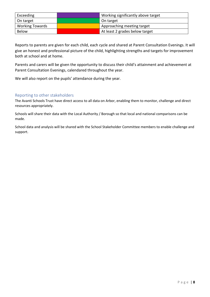| Exceeding              | Working significantly above target |
|------------------------|------------------------------------|
| On target              | On target                          |
| <b>Working Towards</b> | Approaching meeting target         |
| Below                  | At least 2 grades below target     |

Reports to parents are given for each child, each cycle and shared at Parent Consultation Evenings. It will give an honest and professional picture of the child, highlighting strengths and targets for improvement both at school and at home.

Parents and carers will be given the opportunity to discuss their child's attainment and achievement at Parent Consultation Evenings, calendared throughout the year.

We will also report on the pupils' attendance during the year.

## <span id="page-7-0"></span>Reporting to other stakeholders

The Avanti Schools Trust have direct access to all data on Arbor, enabling them to monitor, challenge and direct resources appropriately.

Schools will share their data with the Local Authority / Borough so that local and national comparisons can be made.

School data and analysis will be shared with the School Stakeholder Committee members to enable challenge and support.